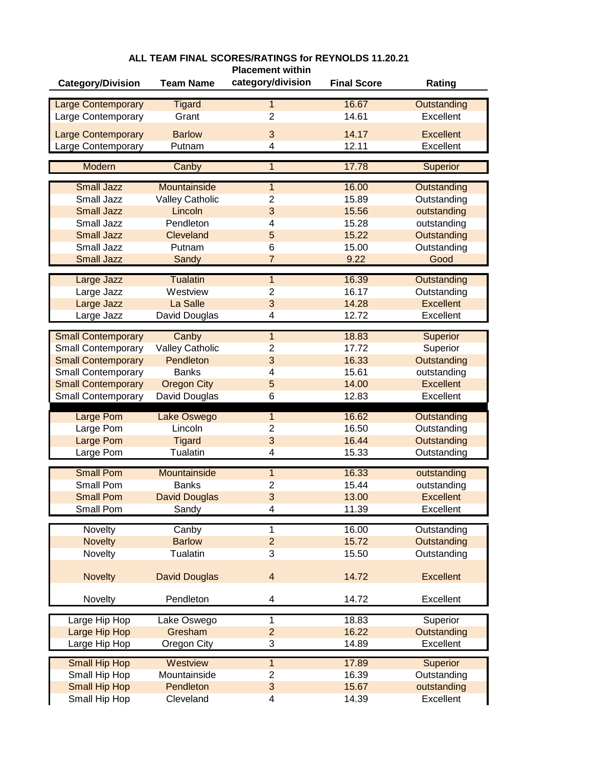| category/division<br><b>Category/Division</b><br><b>Team Name</b><br><b>Final Score</b><br>Rating<br>16.67<br><b>Tigard</b><br><b>Large Contemporary</b><br>$\mathbf{1}$<br>Outstanding<br>2<br>14.61<br>Large Contemporary<br>Grant<br>Excellent<br>14.17<br><b>Barlow</b><br>3<br><b>Excellent</b><br><b>Large Contemporary</b><br>12.11<br>Large Contemporary<br>Excellent<br>Putnam<br>4<br>17.78<br><b>Modern</b><br>Superior<br>Canby<br>1<br><b>Small Jazz</b><br>16.00<br>Mountainside<br><b>Outstanding</b><br>$\mathbf{1}$<br>Small Jazz<br><b>Valley Catholic</b><br>$\overline{2}$<br>15.89<br>Outstanding<br>3<br><b>Small Jazz</b><br>Lincoln<br>15.56<br>outstanding<br>Small Jazz<br>Pendleton<br>4<br>15.28<br>outstanding<br>5<br><b>Small Jazz</b><br>Cleveland<br>15.22<br>Outstanding<br>Small Jazz<br>Putnam<br>6<br>15.00<br>Outstanding<br><b>Small Jazz</b><br>$\overline{7}$<br>9.22<br>Good<br>Sandy<br>16.39<br><b>Tualatin</b><br>Large Jazz<br>$\overline{1}$<br>Outstanding<br>Large Jazz<br>Westview<br>$\overline{2}$<br>16.17<br>Outstanding<br>3<br><b>Excellent</b><br>Large Jazz<br>La Salle<br>14.28<br>Large Jazz<br>David Douglas<br>12.72<br>Excellent<br>4<br>18.83<br><b>Small Contemporary</b><br>Canby<br>1<br>Superior<br><b>Valley Catholic</b><br>17.72<br><b>Small Contemporary</b><br>$\overline{2}$<br>Superior<br>3<br>16.33<br>Outstanding<br><b>Small Contemporary</b><br>Pendleton<br>15.61<br>outstanding<br><b>Small Contemporary</b><br><b>Banks</b><br>4<br>5<br>14.00<br><b>Excellent</b><br><b>Small Contemporary</b><br><b>Oregon City</b><br>Small Contemporary<br>David Douglas<br>6<br>12.83<br>Excellent<br>16.62<br><b>Large Pom</b><br>Lake Oswego<br><b>Outstanding</b><br>1<br>16.50<br>Large Pom<br>Lincoln<br>$\overline{2}$<br>Outstanding<br>3<br>16.44<br>Outstanding<br>Large Pom<br><b>Tigard</b><br>Large Pom<br><b>Tualatin</b><br>15.33<br>Outstanding<br>4<br><b>Small Pom</b><br>16.33<br>Mountainside<br>outstanding<br>1<br>Small Pom<br><b>Banks</b><br>2<br>15.44<br>outstanding<br>3<br><b>Small Pom</b><br><b>David Douglas</b><br>13.00<br><b>Excellent</b><br>11.39<br>Excellent<br>Small Pom<br>Sandy<br>4<br>16.00<br>Novelty<br>1<br>Canby<br>Outstanding<br>$\overline{2}$<br>15.72<br><b>Novelty</b><br><b>Barlow</b><br>Outstanding<br>Novelty<br><b>Tualatin</b><br>3<br>15.50<br>Outstanding<br>$\overline{\mathbf{4}}$<br>14.72<br><b>Excellent</b><br><b>Novelty</b><br><b>David Douglas</b><br>Pendleton<br>14.72<br>Excellent<br>Novelty<br>4<br>1<br>18.83<br>Superior<br>Large Hip Hop<br>Lake Oswego<br>$\overline{2}$<br>16.22<br>Large Hip Hop<br>Gresham<br>Outstanding<br>3<br>14.89<br>Excellent<br>Large Hip Hop<br>Oregon City<br>17.89<br><b>Small Hip Hop</b><br>Westview<br>$\overline{1}$<br>Superior<br>Mountainside<br>2<br>16.39<br>Outstanding<br>Small Hip Hop<br>3<br>15.67<br><b>Small Hip Hop</b><br>Pendleton<br>outstanding |               |           | <b>Placement within</b> |       |           |
|-----------------------------------------------------------------------------------------------------------------------------------------------------------------------------------------------------------------------------------------------------------------------------------------------------------------------------------------------------------------------------------------------------------------------------------------------------------------------------------------------------------------------------------------------------------------------------------------------------------------------------------------------------------------------------------------------------------------------------------------------------------------------------------------------------------------------------------------------------------------------------------------------------------------------------------------------------------------------------------------------------------------------------------------------------------------------------------------------------------------------------------------------------------------------------------------------------------------------------------------------------------------------------------------------------------------------------------------------------------------------------------------------------------------------------------------------------------------------------------------------------------------------------------------------------------------------------------------------------------------------------------------------------------------------------------------------------------------------------------------------------------------------------------------------------------------------------------------------------------------------------------------------------------------------------------------------------------------------------------------------------------------------------------------------------------------------------------------------------------------------------------------------------------------------------------------------------------------------------------------------------------------------------------------------------------------------------------------------------------------------------------------------------------------------------------------------------------------------------------------------------------------------------------------------------------------------------------------------------------------------------------------------------------------------------------------------------------------------------------------------------------------------------------------------------------------------------------------------------------------------------------------------------------------------------------------------------------|---------------|-----------|-------------------------|-------|-----------|
|                                                                                                                                                                                                                                                                                                                                                                                                                                                                                                                                                                                                                                                                                                                                                                                                                                                                                                                                                                                                                                                                                                                                                                                                                                                                                                                                                                                                                                                                                                                                                                                                                                                                                                                                                                                                                                                                                                                                                                                                                                                                                                                                                                                                                                                                                                                                                                                                                                                                                                                                                                                                                                                                                                                                                                                                                                                                                                                                                           |               |           |                         |       |           |
|                                                                                                                                                                                                                                                                                                                                                                                                                                                                                                                                                                                                                                                                                                                                                                                                                                                                                                                                                                                                                                                                                                                                                                                                                                                                                                                                                                                                                                                                                                                                                                                                                                                                                                                                                                                                                                                                                                                                                                                                                                                                                                                                                                                                                                                                                                                                                                                                                                                                                                                                                                                                                                                                                                                                                                                                                                                                                                                                                           |               |           |                         |       |           |
|                                                                                                                                                                                                                                                                                                                                                                                                                                                                                                                                                                                                                                                                                                                                                                                                                                                                                                                                                                                                                                                                                                                                                                                                                                                                                                                                                                                                                                                                                                                                                                                                                                                                                                                                                                                                                                                                                                                                                                                                                                                                                                                                                                                                                                                                                                                                                                                                                                                                                                                                                                                                                                                                                                                                                                                                                                                                                                                                                           |               |           |                         |       |           |
|                                                                                                                                                                                                                                                                                                                                                                                                                                                                                                                                                                                                                                                                                                                                                                                                                                                                                                                                                                                                                                                                                                                                                                                                                                                                                                                                                                                                                                                                                                                                                                                                                                                                                                                                                                                                                                                                                                                                                                                                                                                                                                                                                                                                                                                                                                                                                                                                                                                                                                                                                                                                                                                                                                                                                                                                                                                                                                                                                           |               |           |                         |       |           |
|                                                                                                                                                                                                                                                                                                                                                                                                                                                                                                                                                                                                                                                                                                                                                                                                                                                                                                                                                                                                                                                                                                                                                                                                                                                                                                                                                                                                                                                                                                                                                                                                                                                                                                                                                                                                                                                                                                                                                                                                                                                                                                                                                                                                                                                                                                                                                                                                                                                                                                                                                                                                                                                                                                                                                                                                                                                                                                                                                           |               |           |                         |       |           |
|                                                                                                                                                                                                                                                                                                                                                                                                                                                                                                                                                                                                                                                                                                                                                                                                                                                                                                                                                                                                                                                                                                                                                                                                                                                                                                                                                                                                                                                                                                                                                                                                                                                                                                                                                                                                                                                                                                                                                                                                                                                                                                                                                                                                                                                                                                                                                                                                                                                                                                                                                                                                                                                                                                                                                                                                                                                                                                                                                           |               |           |                         |       |           |
|                                                                                                                                                                                                                                                                                                                                                                                                                                                                                                                                                                                                                                                                                                                                                                                                                                                                                                                                                                                                                                                                                                                                                                                                                                                                                                                                                                                                                                                                                                                                                                                                                                                                                                                                                                                                                                                                                                                                                                                                                                                                                                                                                                                                                                                                                                                                                                                                                                                                                                                                                                                                                                                                                                                                                                                                                                                                                                                                                           |               |           |                         |       |           |
|                                                                                                                                                                                                                                                                                                                                                                                                                                                                                                                                                                                                                                                                                                                                                                                                                                                                                                                                                                                                                                                                                                                                                                                                                                                                                                                                                                                                                                                                                                                                                                                                                                                                                                                                                                                                                                                                                                                                                                                                                                                                                                                                                                                                                                                                                                                                                                                                                                                                                                                                                                                                                                                                                                                                                                                                                                                                                                                                                           |               |           |                         |       |           |
|                                                                                                                                                                                                                                                                                                                                                                                                                                                                                                                                                                                                                                                                                                                                                                                                                                                                                                                                                                                                                                                                                                                                                                                                                                                                                                                                                                                                                                                                                                                                                                                                                                                                                                                                                                                                                                                                                                                                                                                                                                                                                                                                                                                                                                                                                                                                                                                                                                                                                                                                                                                                                                                                                                                                                                                                                                                                                                                                                           |               |           |                         |       |           |
|                                                                                                                                                                                                                                                                                                                                                                                                                                                                                                                                                                                                                                                                                                                                                                                                                                                                                                                                                                                                                                                                                                                                                                                                                                                                                                                                                                                                                                                                                                                                                                                                                                                                                                                                                                                                                                                                                                                                                                                                                                                                                                                                                                                                                                                                                                                                                                                                                                                                                                                                                                                                                                                                                                                                                                                                                                                                                                                                                           |               |           |                         |       |           |
|                                                                                                                                                                                                                                                                                                                                                                                                                                                                                                                                                                                                                                                                                                                                                                                                                                                                                                                                                                                                                                                                                                                                                                                                                                                                                                                                                                                                                                                                                                                                                                                                                                                                                                                                                                                                                                                                                                                                                                                                                                                                                                                                                                                                                                                                                                                                                                                                                                                                                                                                                                                                                                                                                                                                                                                                                                                                                                                                                           |               |           |                         |       |           |
|                                                                                                                                                                                                                                                                                                                                                                                                                                                                                                                                                                                                                                                                                                                                                                                                                                                                                                                                                                                                                                                                                                                                                                                                                                                                                                                                                                                                                                                                                                                                                                                                                                                                                                                                                                                                                                                                                                                                                                                                                                                                                                                                                                                                                                                                                                                                                                                                                                                                                                                                                                                                                                                                                                                                                                                                                                                                                                                                                           |               |           |                         |       |           |
|                                                                                                                                                                                                                                                                                                                                                                                                                                                                                                                                                                                                                                                                                                                                                                                                                                                                                                                                                                                                                                                                                                                                                                                                                                                                                                                                                                                                                                                                                                                                                                                                                                                                                                                                                                                                                                                                                                                                                                                                                                                                                                                                                                                                                                                                                                                                                                                                                                                                                                                                                                                                                                                                                                                                                                                                                                                                                                                                                           |               |           |                         |       |           |
|                                                                                                                                                                                                                                                                                                                                                                                                                                                                                                                                                                                                                                                                                                                                                                                                                                                                                                                                                                                                                                                                                                                                                                                                                                                                                                                                                                                                                                                                                                                                                                                                                                                                                                                                                                                                                                                                                                                                                                                                                                                                                                                                                                                                                                                                                                                                                                                                                                                                                                                                                                                                                                                                                                                                                                                                                                                                                                                                                           |               |           |                         |       |           |
|                                                                                                                                                                                                                                                                                                                                                                                                                                                                                                                                                                                                                                                                                                                                                                                                                                                                                                                                                                                                                                                                                                                                                                                                                                                                                                                                                                                                                                                                                                                                                                                                                                                                                                                                                                                                                                                                                                                                                                                                                                                                                                                                                                                                                                                                                                                                                                                                                                                                                                                                                                                                                                                                                                                                                                                                                                                                                                                                                           |               |           |                         |       |           |
|                                                                                                                                                                                                                                                                                                                                                                                                                                                                                                                                                                                                                                                                                                                                                                                                                                                                                                                                                                                                                                                                                                                                                                                                                                                                                                                                                                                                                                                                                                                                                                                                                                                                                                                                                                                                                                                                                                                                                                                                                                                                                                                                                                                                                                                                                                                                                                                                                                                                                                                                                                                                                                                                                                                                                                                                                                                                                                                                                           |               |           |                         |       |           |
|                                                                                                                                                                                                                                                                                                                                                                                                                                                                                                                                                                                                                                                                                                                                                                                                                                                                                                                                                                                                                                                                                                                                                                                                                                                                                                                                                                                                                                                                                                                                                                                                                                                                                                                                                                                                                                                                                                                                                                                                                                                                                                                                                                                                                                                                                                                                                                                                                                                                                                                                                                                                                                                                                                                                                                                                                                                                                                                                                           |               |           |                         |       |           |
|                                                                                                                                                                                                                                                                                                                                                                                                                                                                                                                                                                                                                                                                                                                                                                                                                                                                                                                                                                                                                                                                                                                                                                                                                                                                                                                                                                                                                                                                                                                                                                                                                                                                                                                                                                                                                                                                                                                                                                                                                                                                                                                                                                                                                                                                                                                                                                                                                                                                                                                                                                                                                                                                                                                                                                                                                                                                                                                                                           |               |           |                         |       |           |
|                                                                                                                                                                                                                                                                                                                                                                                                                                                                                                                                                                                                                                                                                                                                                                                                                                                                                                                                                                                                                                                                                                                                                                                                                                                                                                                                                                                                                                                                                                                                                                                                                                                                                                                                                                                                                                                                                                                                                                                                                                                                                                                                                                                                                                                                                                                                                                                                                                                                                                                                                                                                                                                                                                                                                                                                                                                                                                                                                           |               |           |                         |       |           |
|                                                                                                                                                                                                                                                                                                                                                                                                                                                                                                                                                                                                                                                                                                                                                                                                                                                                                                                                                                                                                                                                                                                                                                                                                                                                                                                                                                                                                                                                                                                                                                                                                                                                                                                                                                                                                                                                                                                                                                                                                                                                                                                                                                                                                                                                                                                                                                                                                                                                                                                                                                                                                                                                                                                                                                                                                                                                                                                                                           |               |           |                         |       |           |
|                                                                                                                                                                                                                                                                                                                                                                                                                                                                                                                                                                                                                                                                                                                                                                                                                                                                                                                                                                                                                                                                                                                                                                                                                                                                                                                                                                                                                                                                                                                                                                                                                                                                                                                                                                                                                                                                                                                                                                                                                                                                                                                                                                                                                                                                                                                                                                                                                                                                                                                                                                                                                                                                                                                                                                                                                                                                                                                                                           |               |           |                         |       |           |
|                                                                                                                                                                                                                                                                                                                                                                                                                                                                                                                                                                                                                                                                                                                                                                                                                                                                                                                                                                                                                                                                                                                                                                                                                                                                                                                                                                                                                                                                                                                                                                                                                                                                                                                                                                                                                                                                                                                                                                                                                                                                                                                                                                                                                                                                                                                                                                                                                                                                                                                                                                                                                                                                                                                                                                                                                                                                                                                                                           |               |           |                         |       |           |
|                                                                                                                                                                                                                                                                                                                                                                                                                                                                                                                                                                                                                                                                                                                                                                                                                                                                                                                                                                                                                                                                                                                                                                                                                                                                                                                                                                                                                                                                                                                                                                                                                                                                                                                                                                                                                                                                                                                                                                                                                                                                                                                                                                                                                                                                                                                                                                                                                                                                                                                                                                                                                                                                                                                                                                                                                                                                                                                                                           |               |           |                         |       |           |
|                                                                                                                                                                                                                                                                                                                                                                                                                                                                                                                                                                                                                                                                                                                                                                                                                                                                                                                                                                                                                                                                                                                                                                                                                                                                                                                                                                                                                                                                                                                                                                                                                                                                                                                                                                                                                                                                                                                                                                                                                                                                                                                                                                                                                                                                                                                                                                                                                                                                                                                                                                                                                                                                                                                                                                                                                                                                                                                                                           |               |           |                         |       |           |
|                                                                                                                                                                                                                                                                                                                                                                                                                                                                                                                                                                                                                                                                                                                                                                                                                                                                                                                                                                                                                                                                                                                                                                                                                                                                                                                                                                                                                                                                                                                                                                                                                                                                                                                                                                                                                                                                                                                                                                                                                                                                                                                                                                                                                                                                                                                                                                                                                                                                                                                                                                                                                                                                                                                                                                                                                                                                                                                                                           |               |           |                         |       |           |
|                                                                                                                                                                                                                                                                                                                                                                                                                                                                                                                                                                                                                                                                                                                                                                                                                                                                                                                                                                                                                                                                                                                                                                                                                                                                                                                                                                                                                                                                                                                                                                                                                                                                                                                                                                                                                                                                                                                                                                                                                                                                                                                                                                                                                                                                                                                                                                                                                                                                                                                                                                                                                                                                                                                                                                                                                                                                                                                                                           |               |           |                         |       |           |
|                                                                                                                                                                                                                                                                                                                                                                                                                                                                                                                                                                                                                                                                                                                                                                                                                                                                                                                                                                                                                                                                                                                                                                                                                                                                                                                                                                                                                                                                                                                                                                                                                                                                                                                                                                                                                                                                                                                                                                                                                                                                                                                                                                                                                                                                                                                                                                                                                                                                                                                                                                                                                                                                                                                                                                                                                                                                                                                                                           |               |           |                         |       |           |
|                                                                                                                                                                                                                                                                                                                                                                                                                                                                                                                                                                                                                                                                                                                                                                                                                                                                                                                                                                                                                                                                                                                                                                                                                                                                                                                                                                                                                                                                                                                                                                                                                                                                                                                                                                                                                                                                                                                                                                                                                                                                                                                                                                                                                                                                                                                                                                                                                                                                                                                                                                                                                                                                                                                                                                                                                                                                                                                                                           |               |           |                         |       |           |
|                                                                                                                                                                                                                                                                                                                                                                                                                                                                                                                                                                                                                                                                                                                                                                                                                                                                                                                                                                                                                                                                                                                                                                                                                                                                                                                                                                                                                                                                                                                                                                                                                                                                                                                                                                                                                                                                                                                                                                                                                                                                                                                                                                                                                                                                                                                                                                                                                                                                                                                                                                                                                                                                                                                                                                                                                                                                                                                                                           |               |           |                         |       |           |
|                                                                                                                                                                                                                                                                                                                                                                                                                                                                                                                                                                                                                                                                                                                                                                                                                                                                                                                                                                                                                                                                                                                                                                                                                                                                                                                                                                                                                                                                                                                                                                                                                                                                                                                                                                                                                                                                                                                                                                                                                                                                                                                                                                                                                                                                                                                                                                                                                                                                                                                                                                                                                                                                                                                                                                                                                                                                                                                                                           |               |           |                         |       |           |
|                                                                                                                                                                                                                                                                                                                                                                                                                                                                                                                                                                                                                                                                                                                                                                                                                                                                                                                                                                                                                                                                                                                                                                                                                                                                                                                                                                                                                                                                                                                                                                                                                                                                                                                                                                                                                                                                                                                                                                                                                                                                                                                                                                                                                                                                                                                                                                                                                                                                                                                                                                                                                                                                                                                                                                                                                                                                                                                                                           |               |           |                         |       |           |
|                                                                                                                                                                                                                                                                                                                                                                                                                                                                                                                                                                                                                                                                                                                                                                                                                                                                                                                                                                                                                                                                                                                                                                                                                                                                                                                                                                                                                                                                                                                                                                                                                                                                                                                                                                                                                                                                                                                                                                                                                                                                                                                                                                                                                                                                                                                                                                                                                                                                                                                                                                                                                                                                                                                                                                                                                                                                                                                                                           |               |           |                         |       |           |
|                                                                                                                                                                                                                                                                                                                                                                                                                                                                                                                                                                                                                                                                                                                                                                                                                                                                                                                                                                                                                                                                                                                                                                                                                                                                                                                                                                                                                                                                                                                                                                                                                                                                                                                                                                                                                                                                                                                                                                                                                                                                                                                                                                                                                                                                                                                                                                                                                                                                                                                                                                                                                                                                                                                                                                                                                                                                                                                                                           |               |           |                         |       |           |
|                                                                                                                                                                                                                                                                                                                                                                                                                                                                                                                                                                                                                                                                                                                                                                                                                                                                                                                                                                                                                                                                                                                                                                                                                                                                                                                                                                                                                                                                                                                                                                                                                                                                                                                                                                                                                                                                                                                                                                                                                                                                                                                                                                                                                                                                                                                                                                                                                                                                                                                                                                                                                                                                                                                                                                                                                                                                                                                                                           |               |           |                         |       |           |
|                                                                                                                                                                                                                                                                                                                                                                                                                                                                                                                                                                                                                                                                                                                                                                                                                                                                                                                                                                                                                                                                                                                                                                                                                                                                                                                                                                                                                                                                                                                                                                                                                                                                                                                                                                                                                                                                                                                                                                                                                                                                                                                                                                                                                                                                                                                                                                                                                                                                                                                                                                                                                                                                                                                                                                                                                                                                                                                                                           |               |           |                         |       |           |
|                                                                                                                                                                                                                                                                                                                                                                                                                                                                                                                                                                                                                                                                                                                                                                                                                                                                                                                                                                                                                                                                                                                                                                                                                                                                                                                                                                                                                                                                                                                                                                                                                                                                                                                                                                                                                                                                                                                                                                                                                                                                                                                                                                                                                                                                                                                                                                                                                                                                                                                                                                                                                                                                                                                                                                                                                                                                                                                                                           |               |           |                         |       |           |
|                                                                                                                                                                                                                                                                                                                                                                                                                                                                                                                                                                                                                                                                                                                                                                                                                                                                                                                                                                                                                                                                                                                                                                                                                                                                                                                                                                                                                                                                                                                                                                                                                                                                                                                                                                                                                                                                                                                                                                                                                                                                                                                                                                                                                                                                                                                                                                                                                                                                                                                                                                                                                                                                                                                                                                                                                                                                                                                                                           |               |           |                         |       |           |
|                                                                                                                                                                                                                                                                                                                                                                                                                                                                                                                                                                                                                                                                                                                                                                                                                                                                                                                                                                                                                                                                                                                                                                                                                                                                                                                                                                                                                                                                                                                                                                                                                                                                                                                                                                                                                                                                                                                                                                                                                                                                                                                                                                                                                                                                                                                                                                                                                                                                                                                                                                                                                                                                                                                                                                                                                                                                                                                                                           |               |           |                         |       |           |
|                                                                                                                                                                                                                                                                                                                                                                                                                                                                                                                                                                                                                                                                                                                                                                                                                                                                                                                                                                                                                                                                                                                                                                                                                                                                                                                                                                                                                                                                                                                                                                                                                                                                                                                                                                                                                                                                                                                                                                                                                                                                                                                                                                                                                                                                                                                                                                                                                                                                                                                                                                                                                                                                                                                                                                                                                                                                                                                                                           |               |           |                         |       |           |
|                                                                                                                                                                                                                                                                                                                                                                                                                                                                                                                                                                                                                                                                                                                                                                                                                                                                                                                                                                                                                                                                                                                                                                                                                                                                                                                                                                                                                                                                                                                                                                                                                                                                                                                                                                                                                                                                                                                                                                                                                                                                                                                                                                                                                                                                                                                                                                                                                                                                                                                                                                                                                                                                                                                                                                                                                                                                                                                                                           |               |           |                         |       |           |
|                                                                                                                                                                                                                                                                                                                                                                                                                                                                                                                                                                                                                                                                                                                                                                                                                                                                                                                                                                                                                                                                                                                                                                                                                                                                                                                                                                                                                                                                                                                                                                                                                                                                                                                                                                                                                                                                                                                                                                                                                                                                                                                                                                                                                                                                                                                                                                                                                                                                                                                                                                                                                                                                                                                                                                                                                                                                                                                                                           |               |           |                         |       |           |
|                                                                                                                                                                                                                                                                                                                                                                                                                                                                                                                                                                                                                                                                                                                                                                                                                                                                                                                                                                                                                                                                                                                                                                                                                                                                                                                                                                                                                                                                                                                                                                                                                                                                                                                                                                                                                                                                                                                                                                                                                                                                                                                                                                                                                                                                                                                                                                                                                                                                                                                                                                                                                                                                                                                                                                                                                                                                                                                                                           |               |           |                         |       |           |
|                                                                                                                                                                                                                                                                                                                                                                                                                                                                                                                                                                                                                                                                                                                                                                                                                                                                                                                                                                                                                                                                                                                                                                                                                                                                                                                                                                                                                                                                                                                                                                                                                                                                                                                                                                                                                                                                                                                                                                                                                                                                                                                                                                                                                                                                                                                                                                                                                                                                                                                                                                                                                                                                                                                                                                                                                                                                                                                                                           |               |           |                         |       |           |
|                                                                                                                                                                                                                                                                                                                                                                                                                                                                                                                                                                                                                                                                                                                                                                                                                                                                                                                                                                                                                                                                                                                                                                                                                                                                                                                                                                                                                                                                                                                                                                                                                                                                                                                                                                                                                                                                                                                                                                                                                                                                                                                                                                                                                                                                                                                                                                                                                                                                                                                                                                                                                                                                                                                                                                                                                                                                                                                                                           |               |           |                         |       |           |
|                                                                                                                                                                                                                                                                                                                                                                                                                                                                                                                                                                                                                                                                                                                                                                                                                                                                                                                                                                                                                                                                                                                                                                                                                                                                                                                                                                                                                                                                                                                                                                                                                                                                                                                                                                                                                                                                                                                                                                                                                                                                                                                                                                                                                                                                                                                                                                                                                                                                                                                                                                                                                                                                                                                                                                                                                                                                                                                                                           |               |           |                         |       |           |
|                                                                                                                                                                                                                                                                                                                                                                                                                                                                                                                                                                                                                                                                                                                                                                                                                                                                                                                                                                                                                                                                                                                                                                                                                                                                                                                                                                                                                                                                                                                                                                                                                                                                                                                                                                                                                                                                                                                                                                                                                                                                                                                                                                                                                                                                                                                                                                                                                                                                                                                                                                                                                                                                                                                                                                                                                                                                                                                                                           |               |           |                         |       |           |
|                                                                                                                                                                                                                                                                                                                                                                                                                                                                                                                                                                                                                                                                                                                                                                                                                                                                                                                                                                                                                                                                                                                                                                                                                                                                                                                                                                                                                                                                                                                                                                                                                                                                                                                                                                                                                                                                                                                                                                                                                                                                                                                                                                                                                                                                                                                                                                                                                                                                                                                                                                                                                                                                                                                                                                                                                                                                                                                                                           |               |           |                         |       |           |
|                                                                                                                                                                                                                                                                                                                                                                                                                                                                                                                                                                                                                                                                                                                                                                                                                                                                                                                                                                                                                                                                                                                                                                                                                                                                                                                                                                                                                                                                                                                                                                                                                                                                                                                                                                                                                                                                                                                                                                                                                                                                                                                                                                                                                                                                                                                                                                                                                                                                                                                                                                                                                                                                                                                                                                                                                                                                                                                                                           |               |           |                         |       |           |
|                                                                                                                                                                                                                                                                                                                                                                                                                                                                                                                                                                                                                                                                                                                                                                                                                                                                                                                                                                                                                                                                                                                                                                                                                                                                                                                                                                                                                                                                                                                                                                                                                                                                                                                                                                                                                                                                                                                                                                                                                                                                                                                                                                                                                                                                                                                                                                                                                                                                                                                                                                                                                                                                                                                                                                                                                                                                                                                                                           |               |           |                         |       |           |
|                                                                                                                                                                                                                                                                                                                                                                                                                                                                                                                                                                                                                                                                                                                                                                                                                                                                                                                                                                                                                                                                                                                                                                                                                                                                                                                                                                                                                                                                                                                                                                                                                                                                                                                                                                                                                                                                                                                                                                                                                                                                                                                                                                                                                                                                                                                                                                                                                                                                                                                                                                                                                                                                                                                                                                                                                                                                                                                                                           |               |           |                         |       |           |
|                                                                                                                                                                                                                                                                                                                                                                                                                                                                                                                                                                                                                                                                                                                                                                                                                                                                                                                                                                                                                                                                                                                                                                                                                                                                                                                                                                                                                                                                                                                                                                                                                                                                                                                                                                                                                                                                                                                                                                                                                                                                                                                                                                                                                                                                                                                                                                                                                                                                                                                                                                                                                                                                                                                                                                                                                                                                                                                                                           |               |           |                         |       |           |
|                                                                                                                                                                                                                                                                                                                                                                                                                                                                                                                                                                                                                                                                                                                                                                                                                                                                                                                                                                                                                                                                                                                                                                                                                                                                                                                                                                                                                                                                                                                                                                                                                                                                                                                                                                                                                                                                                                                                                                                                                                                                                                                                                                                                                                                                                                                                                                                                                                                                                                                                                                                                                                                                                                                                                                                                                                                                                                                                                           | Small Hip Hop | Cleveland | 4                       | 14.39 | Excellent |

**ALL TEAM FINAL SCORES/RATINGS for REYNOLDS 11.20.21**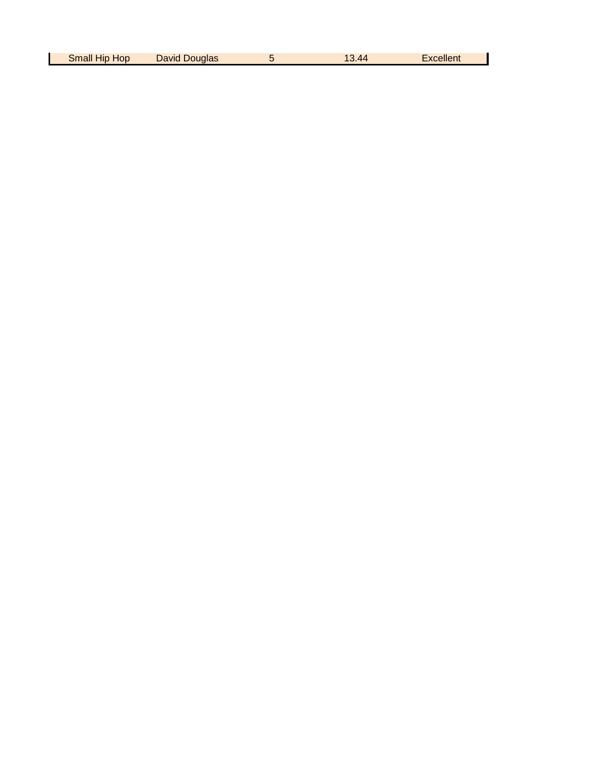| Small<br>HOD<br>HID | <b>David</b><br>Douglas | $\overline{40}$ | Excellent |
|---------------------|-------------------------|-----------------|-----------|